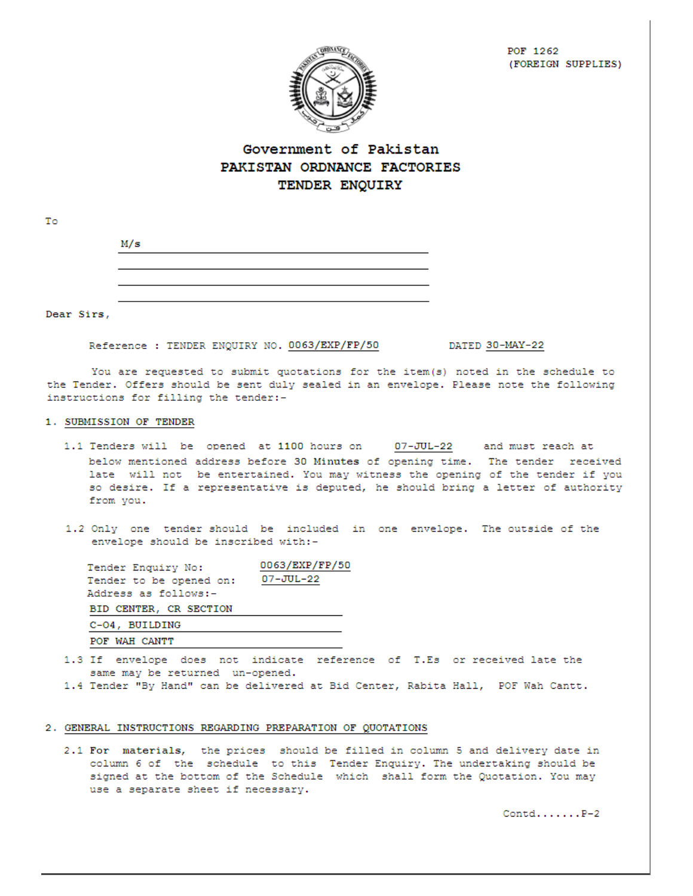POF 1262 (FOREIGN SUPPLIES)



# Government of Pakistan PAKISTAN ORDNANCE FACTORIES TENDER ENQUIRY

| M/s |  |  |  |
|-----|--|--|--|
|     |  |  |  |
|     |  |  |  |
|     |  |  |  |
|     |  |  |  |

Dear Sirs,

To

Reference : TENDER ENQUIRY NO. 0063/EXP/FP/50

DATED 30-MAY-22

You are requested to submit quotations for the item(s) noted in the schedule to the Tender. Offers should be sent duly sealed in an envelope. Please note the following instructions for filling the tender:-

### 1. SUBMISSION OF TENDER

- 1.1 Tenders will be opened at 1100 hours on 07-JUL-22 and must reach at below mentioned address before 30 Minutes of opening time. The tender received late will not be entertained. You may witness the opening of the tender if you so desire. If a representative is deputed, he should bring a letter of authority from you.
- 1.2 Only one tender should be included in one envelope. The outside of the envelope should be inscribed with:-

| Tender Enquiry No:      | 0063/EXP/FP/50 |
|-------------------------|----------------|
| Tender to be opened on: | 07-JUL-22      |
| Address as follows:-    |                |
| BID CENTER, CR SECTION  |                |
| C-04, BUILDING          |                |
| POF WAH CANTT           |                |

- 1.3 If envelope does not indicate reference of T.Es or received late the same may be returned un-opened.
- 1.4 Tender "By Hand" can be delivered at Bid Center, Rabita Hall, POF Wah Cantt.

### 2. GENERAL INSTRUCTIONS REGARDING PREPARATION OF QUOTATIONS

2.1 For materials, the prices should be filled in column 5 and delivery date in column 6 of the schedule to this Tender Enquiry. The undertaking should be signed at the bottom of the Schedule which shall form the Quotation. You may use a separate sheet if necessary.

 $\mathtt{Control} \ldots \ldots \mathtt{.} \mathtt{P-2}$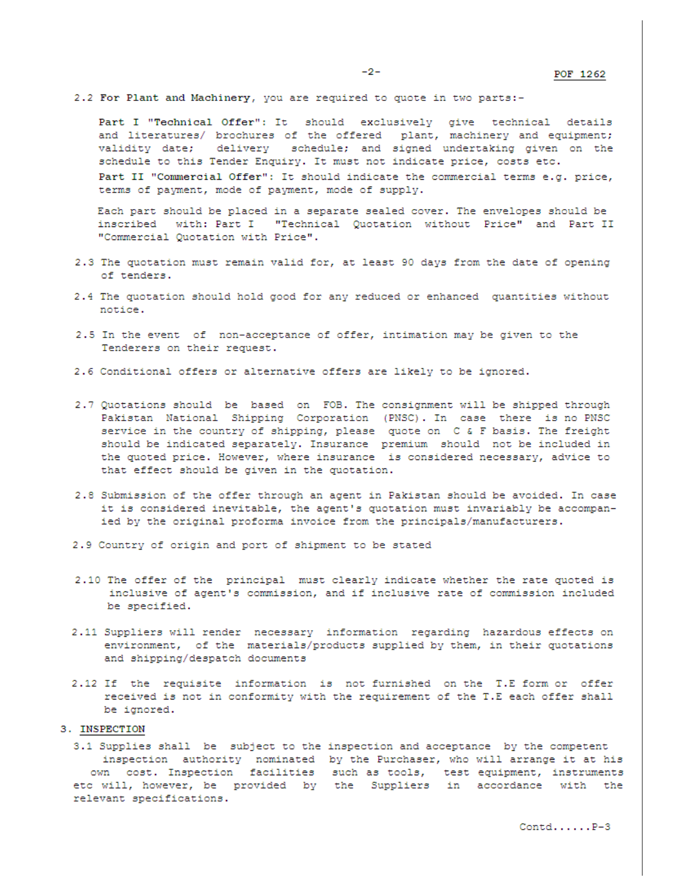2.2 For Plant and Machinery, you are required to quote in two parts:-

Part I "Technical Offer": It should exclusively give technical details and literatures/ brochures of the offered plant, machinery and equipment; validity date; delivery schedule; and signed undertaking given on the schedule to this Tender Enquiry. It must not indicate price, costs etc. Part II "Commercial Offer": It should indicate the commercial terms e.g. price, terms of payment, mode of payment, mode of supply.

Each part should be placed in a separate sealed cover. The envelopes should be inscribed with: Part I "Technical Quotation without Price" and Part II "Commercial Quotation with Price".

- 2.3 The quotation must remain valid for, at least 90 days from the date of opening of tenders.
- 2.4 The quotation should hold good for any reduced or enhanced quantities without notice.
- 2.5 In the event of non-acceptance of offer, intimation may be given to the Tenderers on their request.
- 2.6 Conditional offers or alternative offers are likely to be ignored.
- 2.7 Quotations should be based on FOB. The consignment will be shipped through Pakistan National Shipping Corporation (PNSC). In case there is no PNSC service in the country of shipping, please quote on C & F basis. The freight should be indicated separately. Insurance premium should not be included in the quoted price. However, where insurance is considered necessary, advice to that effect should be given in the quotation.
- 2.8 Submission of the offer through an agent in Pakistan should be avoided. In case it is considered inevitable, the agent's quotation must invariably be accompanied by the original proforma invoice from the principals/manufacturers.
- 2.9 Country of origin and port of shipment to be stated
- 2.10 The offer of the principal must clearly indicate whether the rate quoted is inclusive of agent's commission, and if inclusive rate of commission included be specified.
- 2.11 Suppliers will render necessary information regarding hazardous effects on environment, of the materials/products supplied by them, in their quotations and shipping/despatch documents
- 2.12 If the requisite information is not furnished on the T.E form or offer received is not in conformity with the requirement of the T.E each offer shall be ignored.

### 3. INSPECTION

3.1 Supplies shall be subject to the inspection and acceptance by the competent inspection authority nominated by the Purchaser, who will arrange it at his own cost. Inspection facilities such as tools, test equipment, instruments etc will, however, be provided by the Suppliers in accordance with the relevant specifications.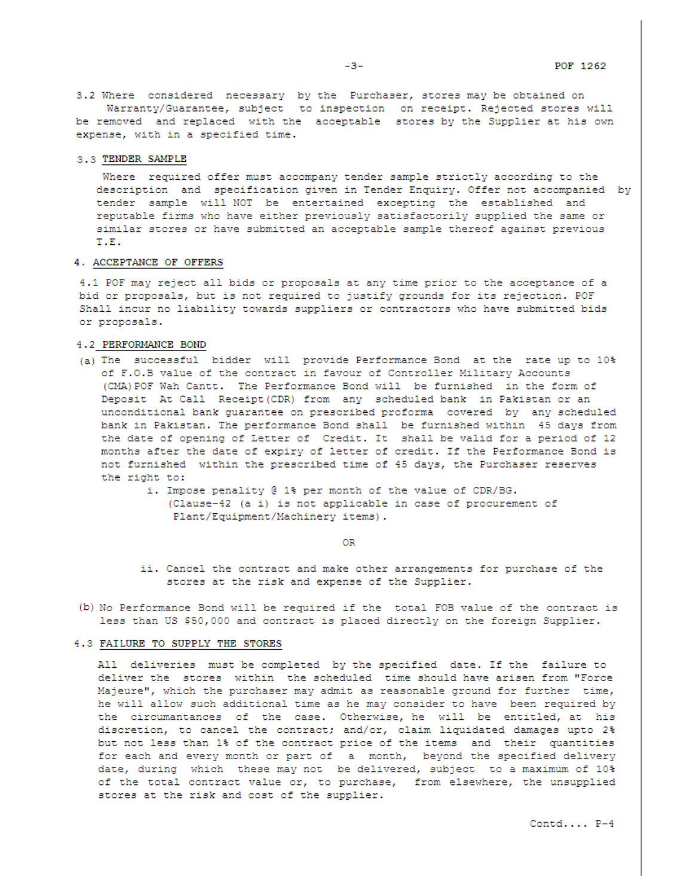3.2 Where considered necessary by the Purchaser, stores may be obtained on Warranty/Guarantee, subject to inspection on receipt. Rejected stores will be removed and replaced with the acceptable stores by the Supplier at his own expense, with in a specified time.

#### 3.3 TENDER SAMPLE

Where required offer must accompany tender sample strictly according to the description and specification given in Tender Enquiry. Offer not accompanied by tender sample will NOT be entertained excepting the established and reputable firms who have either previously satisfactorily supplied the same or similar stores or have submitted an acceptable sample thereof against previous T.E.

#### 4. ACCEPTANCE OF OFFERS

4.1 POF may reject all bids or proposals at any time prior to the acceptance of a bid or proposals, but is not required to justify grounds for its rejection. POF Shall incur no liability towards suppliers or contractors who have submitted bids or proposals.

### 4.2 PERFORMANCE BOND

- (a) The successful bidder will provide Performance Bond at the rate up to 10% of F.O.B value of the contract in favour of Controller Military Accounts (CMA) POF Wah Cantt. The Performance Bond will be furnished in the form of Deposit At Call Receipt (CDR) from any scheduled bank in Pakistan or an unconditional bank guarantee on prescribed proforma covered by any scheduled bank in Pakistan. The performance Bond shall be furnished within 45 days from the date of opening of Letter of Credit. It shall be valid for a period of 12 months after the date of expiry of letter of credit. If the Performance Bond is not furnished within the prescribed time of 45 days, the Purchaser reserves the right to:
	- i. Impose penality @ 1% per month of the value of CDR/BG. (Clause-42 (a i) is not applicable in case of procurement of Plant/Equipment/Machinery items).

OR

- ii. Cancel the contract and make other arrangements for purchase of the stores at the risk and expense of the Supplier.
- (b) No Performance Bond will be required if the total FOB value of the contract is less than US \$50,000 and contract is placed directly on the foreign Supplier.

#### 4.3 FAILURE TO SUPPLY THE STORES

All deliveries must be completed by the specified date. If the failure to deliver the stores within the scheduled time should have arisen from "Force Majeure", which the purchaser may admit as reasonable ground for further time, he will allow such additional time as he may consider to have been required by the circumantances of the case. Otherwise, he will be entitled, at his discretion, to cancel the contract; and/or, claim liquidated damages upto 2% but not less than 1% of the contract price of the items and their quantities for each and every month or part of a month, beyond the specified delivery date, during which these may not be delivered, subject to a maximum of 10% of the total contract value or, to purchase, from elsewhere, the unsupplied stores at the risk and cost of the supplier.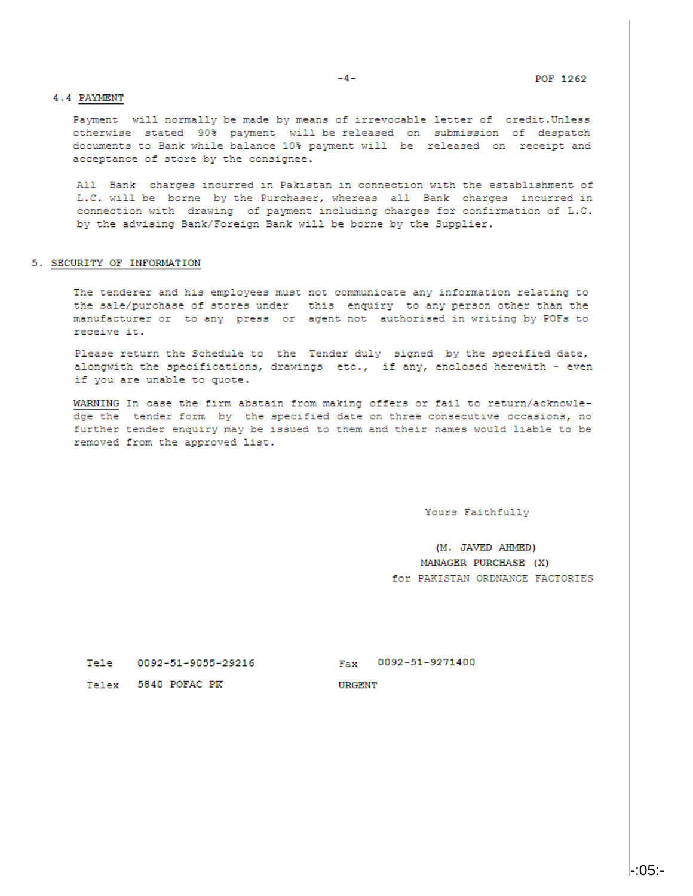#### 4.4 PAYMENT

Payment will normally be made by means of irrevocable letter of credit. Unless otherwise stated 90% payment will be released on submission of despatch documents to Bank while balance 10% payment will be released on receipt and acceptance of store by the consignee.

All Bank charges incurred in Pakistan in connection with the establishment of L.C. will be borne by the Purchaser, whereas all Bank charges incurred in connection with drawing of payment including charges for confirmation of L.C. by the advising Bank/Foreign Bank will be borne by the Supplier.

#### 5. SECURITY OF INFORMATION

The tenderer and his employees must not communicate any information relating to the sale/purchase of stores under this enquiry to any person other than the manufacturer or to any press or agent not authorised in writing by POFs to receive it.

Please return the Schedule to the Tender duly signed by the specified date, alongwith the specifications, drawings etc., if any, enclosed herewith - even if you are unable to quote.

WARNING In case the firm abstain from making offers or fail to return/acknowledge the tender form by the specified date on three consecutive occasions, no further tender enquiry may be issued to them and their names would liable to be removed from the approved list.

Yours Faithfully

(M. JAVED AHMED) MANAGER PURCHASE (X) for PAKISTAN ORDNANCE FACTORIES

Tele 0092-51-9055-29216

Fax 0092-51-9271400

**URGENT** 

Telex 5840 POFAC PK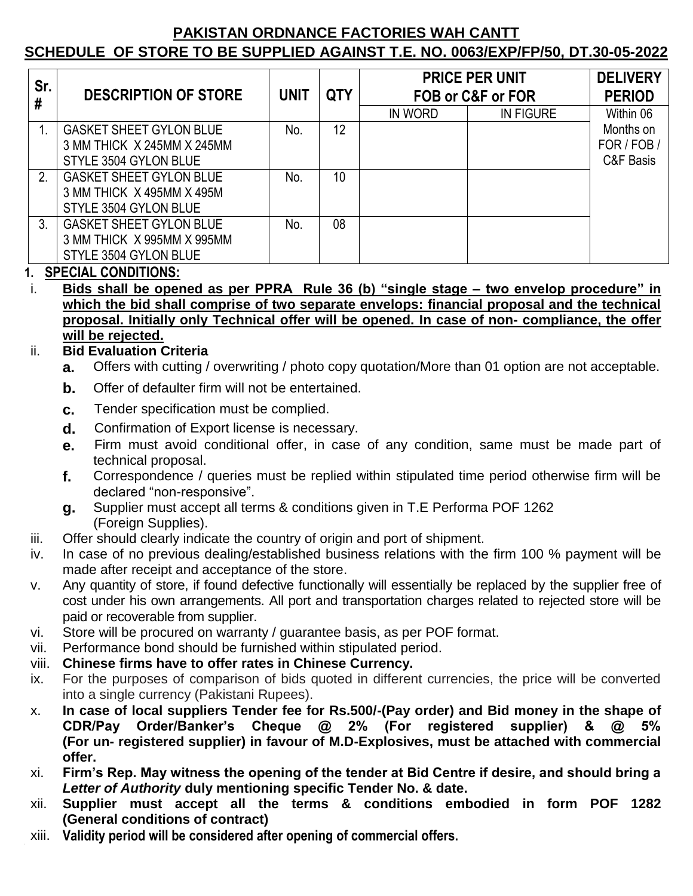# **PAKISTAN ORDNANCE FACTORIES WAH CANTT**

# **SCHEDULE OF STORE TO BE SUPPLIED AGAINST T.E. NO. 0063/EXP/FP/50, DT.30-05-2022**

| Sr.<br>#    | <b>DESCRIPTION OF STORE</b>    | <b>UNIT</b> | <b>QTY</b> | <b>PRICE PER UNIT</b><br>FOB or C&F or FOR |                  | <b>DELIVERY</b><br><b>PERIOD</b> |
|-------------|--------------------------------|-------------|------------|--------------------------------------------|------------------|----------------------------------|
|             |                                |             |            | IN WORD                                    | <b>IN FIGURE</b> | Within 06                        |
|             | <b>GASKET SHEET GYLON BLUE</b> | No.         | 12         |                                            |                  | Months on                        |
|             | 3 MM THICK X 245MM X 245MM     |             |            |                                            |                  | FOR / FOB                        |
|             | STYLE 3504 GYLON BLUE          |             |            |                                            |                  | C&F Basis                        |
| 2.          | <b>GASKET SHEET GYLON BLUE</b> | No.         | 10         |                                            |                  |                                  |
|             | 3 MM THICK X 495MM X 495M      |             |            |                                            |                  |                                  |
|             | STYLE 3504 GYLON BLUE          |             |            |                                            |                  |                                  |
| $3_{\cdot}$ | <b>GASKET SHEET GYLON BLUE</b> | No.         | 08         |                                            |                  |                                  |
|             | 3 MM THICK X 995MM X 995MM     |             |            |                                            |                  |                                  |
|             | STYLE 3504 GYLON BLUE          |             |            |                                            |                  |                                  |

# **1. SPECIAL CONDITIONS:**

i. **Bids shall be opened as per PPRA Rule 36 (b) "single stage – two envelop procedure" in which the bid shall comprise of two separate envelops: financial proposal and the technical proposal. Initially only Technical offer will be opened. In case of non- compliance, the offer will be rejected.**

# ii. **Bid Evaluation Criteria**

- **a.** Offers with cutting / overwriting / photo copy quotation/More than 01 option are not acceptable.
- **b.** Offer of defaulter firm will not be entertained.
- **c.** Tender specification must be complied.
- **d.** Confirmation of Export license is necessary.
- **e.** Firm must avoid conditional offer, in case of any condition, same must be made part of technical proposal.
- **f.** Correspondence / queries must be replied within stipulated time period otherwise firm will be declared "non-responsive".
- **g.** Supplier must accept all terms & conditions given in T.E Performa POF 1262 (Foreign Supplies).
- iii. Offer should clearly indicate the country of origin and port of shipment.
- iv. In case of no previous dealing/established business relations with the firm 100 % payment will be made after receipt and acceptance of the store.
- v. Any quantity of store, if found defective functionally will essentially be replaced by the supplier free of cost under his own arrangements. All port and transportation charges related to rejected store will be paid or recoverable from supplier.
- vi. Store will be procured on warranty / guarantee basis, as per POF format.
- vii. Performance bond should be furnished within stipulated period.
- viii. **Chinese firms have to offer rates in Chinese Currency.**
- ix. For the purposes of comparison of bids quoted in different currencies, the price will be converted into a single currency (Pakistani Rupees).
- x. **In case of local suppliers Tender fee for Rs.500/-(Pay order) and Bid money in the shape of CDR/Pay Order/Banker's Cheque @ 2% (For registered supplier) & @ 5% (For un- registered supplier) in favour of M.D-Explosives, must be attached with commercial offer.**
- xi. **Firm's Rep. May witness the opening of the tender at Bid Centre if desire, and should bring a**  *Letter of Authority* **duly mentioning specific Tender No. & date.**
- xii. **Supplier must accept all the terms & conditions embodied in form POF 1282 (General conditions of contract)**
- xiii. **Validity period will be considered after opening of commercial offers.**